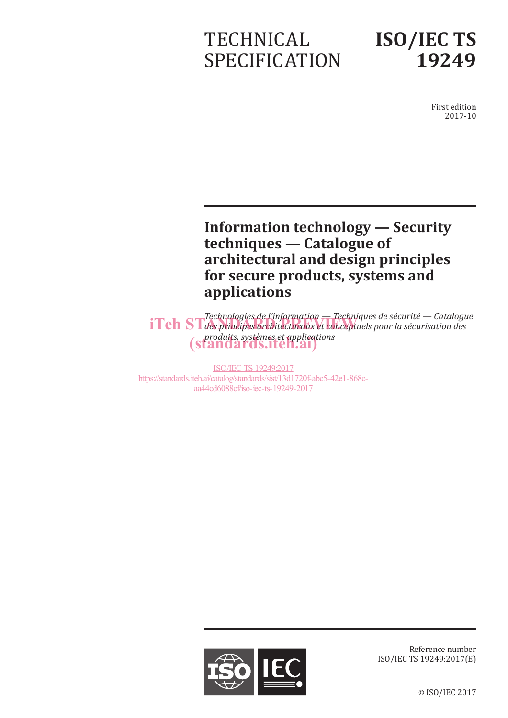# TECHNICAL SPECIFICATION

# **ISO/IEC TS 19249**

First edition 2017-10

## **Information technology — Security techniques — Catalogue of architectural and design principles for secure products, systems and applications**

*Technologies de l'information — Techniques de sécurité — Catalogue i*Teh ST des principes architecturaux et conceptuels pour la sécurisation des **intervents** *produits, systèmes et applications* (standards.iteh.ai)

ISO/IEC TS 19249:2017 https://standards.iteh.ai/catalog/standards/sist/13d1720f-abc5-42e1-868caa44cd6088cf/iso-iec-ts-19249-2017



Reference number ISO/IEC TS 19249:2017(E)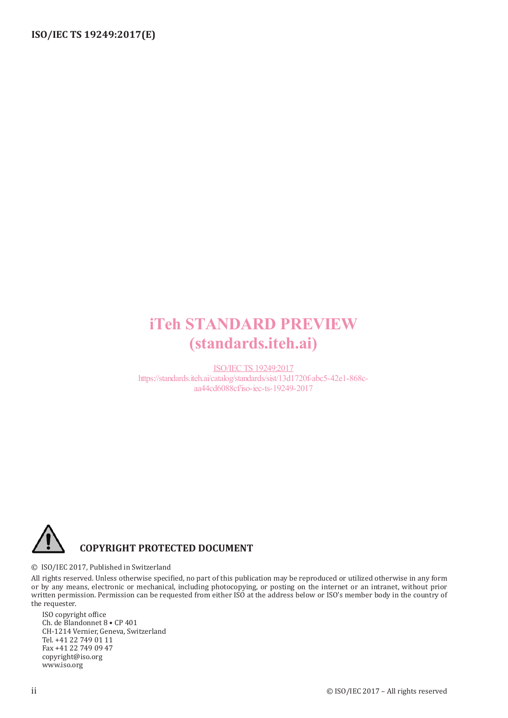## iTeh STANDARD PREVIEW (standards.iteh.ai)

ISO/IEC TS 19249:2017 https://standards.iteh.ai/catalog/standards/sist/13d1720f-abc5-42e1-868caa44cd6088cf/iso-iec-ts-19249-2017



© ISO/IEC 2017, Published in Switzerland

All rights reserved. Unless otherwise specified, no part of this publication may be reproduced or utilized otherwise in any form or by any means, electronic or mechanical, including photocopying, or posting on the internet or an intranet, without prior written permission. Permission can be requested from either ISO at the address below or ISO's member body in the country of the requester.

ISO copyright office Ch. de Blandonnet 8 • CP 401 CH-1214 Vernier, Geneva, Switzerland Tel. +41 22 749 01 11 Fax +41 22 749 09 47 copyright@iso.org www.iso.org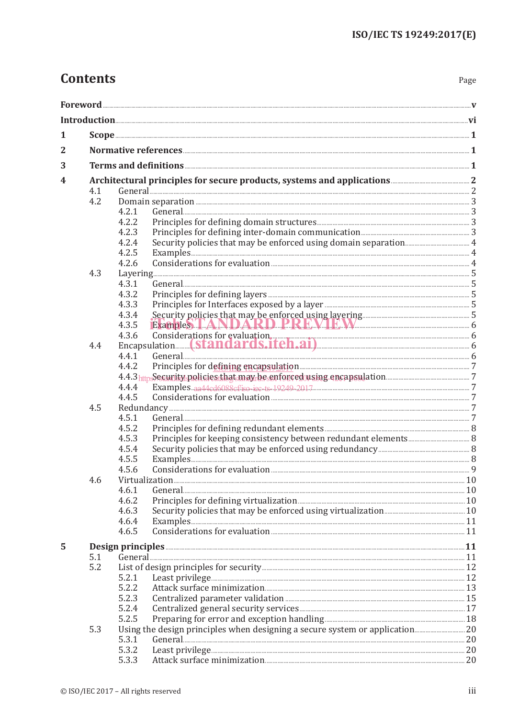## **Contents**

| 1              |     |                                                                                                      |  |  |  |
|----------------|-----|------------------------------------------------------------------------------------------------------|--|--|--|
| $\overline{2}$ |     |                                                                                                      |  |  |  |
| 3              |     |                                                                                                      |  |  |  |
|                |     |                                                                                                      |  |  |  |
| 4              | 4.1 |                                                                                                      |  |  |  |
|                | 4.2 |                                                                                                      |  |  |  |
|                |     | 4.2.1                                                                                                |  |  |  |
|                |     | 4.2.2                                                                                                |  |  |  |
|                |     | 4.2.3                                                                                                |  |  |  |
|                |     | 4.2.4                                                                                                |  |  |  |
|                |     | 4.2.5                                                                                                |  |  |  |
|                |     | 4.2.6                                                                                                |  |  |  |
|                | 4.3 |                                                                                                      |  |  |  |
|                |     | 4.3.1                                                                                                |  |  |  |
|                |     | 4.3.2                                                                                                |  |  |  |
|                |     | 4.3.3                                                                                                |  |  |  |
|                |     | 4.3.4                                                                                                |  |  |  |
|                |     | Security policies that may be enforced using layering 35 Examples 1.4 M D A R D PRR M 1.4 M<br>4.3.5 |  |  |  |
|                |     |                                                                                                      |  |  |  |
|                | 4.4 |                                                                                                      |  |  |  |
|                |     | 4.4.1                                                                                                |  |  |  |
|                |     | 4.4.2                                                                                                |  |  |  |
|                |     |                                                                                                      |  |  |  |
|                |     | 4.4.4                                                                                                |  |  |  |
|                |     | 4.4.5                                                                                                |  |  |  |
|                | 4.5 |                                                                                                      |  |  |  |
|                |     | 4.5.1                                                                                                |  |  |  |
|                |     | 4.5.2                                                                                                |  |  |  |
|                |     | 4.5.3                                                                                                |  |  |  |
|                |     | 4.5.4                                                                                                |  |  |  |
|                |     | 4.5.5                                                                                                |  |  |  |
|                |     | 4.5.6                                                                                                |  |  |  |
|                | 4.6 |                                                                                                      |  |  |  |
|                |     | 4.6.1                                                                                                |  |  |  |
|                |     | Principles for defining virtualization <b>Manufaction</b> 20<br>4.6.2                                |  |  |  |
|                |     | 4.6.3                                                                                                |  |  |  |
|                |     | 4.6.4<br>Examples 11                                                                                 |  |  |  |
|                |     | 4.6.5                                                                                                |  |  |  |
|                |     |                                                                                                      |  |  |  |
| 5              | 5.1 | Design principles <b>Executes</b> 21                                                                 |  |  |  |
|                | 5.2 |                                                                                                      |  |  |  |
|                |     | 5.2.1                                                                                                |  |  |  |
|                |     | 5.2.2                                                                                                |  |  |  |
|                |     | 5.2.3                                                                                                |  |  |  |
|                |     | 5.2.4                                                                                                |  |  |  |
|                |     | 5.2.5                                                                                                |  |  |  |
|                | 5.3 |                                                                                                      |  |  |  |
|                |     | 5.3.1                                                                                                |  |  |  |
|                |     | 5.3.2                                                                                                |  |  |  |
|                |     | 5.3.3                                                                                                |  |  |  |
|                |     |                                                                                                      |  |  |  |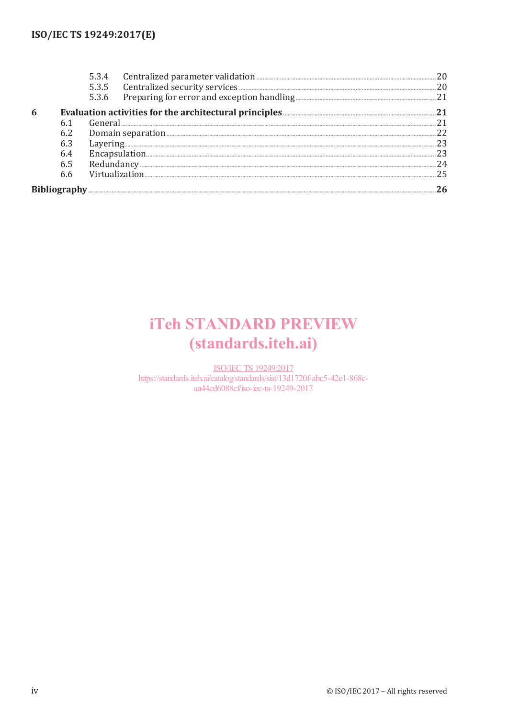|  |     | 5.3.4                                                                       |     |  |  |
|--|-----|-----------------------------------------------------------------------------|-----|--|--|
|  |     |                                                                             | 20  |  |  |
|  |     | 5.3.6                                                                       |     |  |  |
|  |     | Evaluation activities for the architectural principles <b>EVALUATION</b> 21 |     |  |  |
|  |     |                                                                             | .21 |  |  |
|  | 6.2 |                                                                             |     |  |  |
|  | 6.3 |                                                                             | 23  |  |  |
|  |     |                                                                             | 23  |  |  |
|  | 6.5 |                                                                             | 24  |  |  |
|  | 6.6 |                                                                             | 25  |  |  |
|  |     |                                                                             |     |  |  |

## **iTeh STANDARD PREVIEW** (standards.iteh.ai)

**ISO/IEC TS 19249:2017** https://standards.iteh.ai/catalog/standards/sist/13d1720f-abc5-42e1-868caa44cd6088cf/iso-iec-ts-19249-2017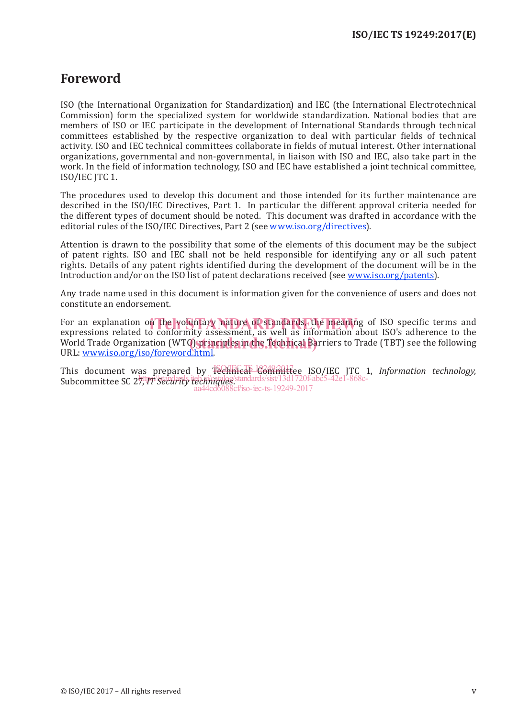### **Foreword**

ISO (the International Organization for Standardization) and IEC (the International Electrotechnical Commission) form the specialized system for worldwide standardization. National bodies that are members of ISO or IEC participate in the development of International Standards through technical committees established by the respective organization to deal with particular fields of technical activity. ISO and IEC technical committees collaborate in fields of mutual interest. Other international organizations, governmental and non-governmental, in liaison with ISO and IEC, also take part in the work. In the field of information technology, ISO and IEC have established a joint technical committee, ISO/IEC JTC 1.

The procedures used to develop this document and those intended for its further maintenance are described in the ISO/IEC Directives, Part 1. In particular the different approval criteria needed for the different types of document should be noted. This document was drafted in accordance with the editorial rules of the ISO/IEC Directives, Part 2 (see www.iso.org/directives).

Attention is drawn to the possibility that some of the elements of this document may be the subject of patent rights. ISO and IEC shall not be held responsible for identifying any or all such patent rights. Details of any patent rights identified during the development of the document will be in the Introduction and/or on the ISO list of patent declarations received (see www.iso.org/patents).

Any trade name used in this document is information given for the convenience of users and does not constitute an endorsement.

For an explanation on the voluntary nature of standards, the meaning of ISO specific terms and<br>expressions related to conformity assessment, as well as information about ISO's adherence to the expressions related to conformity assessment, as well as information about ISO's adherence to the United to containing assessment, as well as information assat 1505 and the the Come<br>World Trade Organization (WTO) principles in the Technical Barriers to Trade (TBT) see the following URL: www.iso.org/iso/foreword.html.

This document was prepared by **Technical Committee ISO/IEC JTC 1**, *Information technology*, Subcommittee SC 27, *IT Security techniques*. https://standards.iteh.ai/catalog/standards/sist/13d1720f-abc5-42e1-868caa44cd6088cf/iso-iec-ts-19249-2017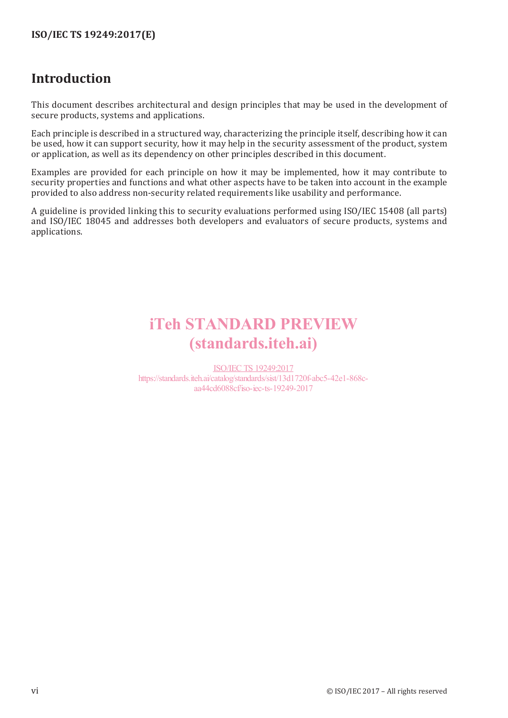### **Introduction**

This document describes architectural and design principles that may be used in the development of secure products, systems and applications.

Each principle is described in a structured way, characterizing the principle itself, describing how it can be used, how it can support security, how it may help in the security assessment of the product, system or application, as well as its dependency on other principles described in this document.

Examples are provided for each principle on how it may be implemented, how it may contribute to security properties and functions and what other aspects have to be taken into account in the example provided to also address non-security related requirements like usability and performance.

A guideline is provided linking this to security evaluations performed using ISO/IEC 15408 (all parts) and ISO/IEC 18045 and addresses both developers and evaluators of secure products, systems and applications.

## iTeh STANDARD PREVIEW (standards.iteh.ai)

ISO/IEC TS 19249:2017 https://standards.iteh.ai/catalog/standards/sist/13d1720f-abc5-42e1-868caa44cd6088cf/iso-iec-ts-19249-2017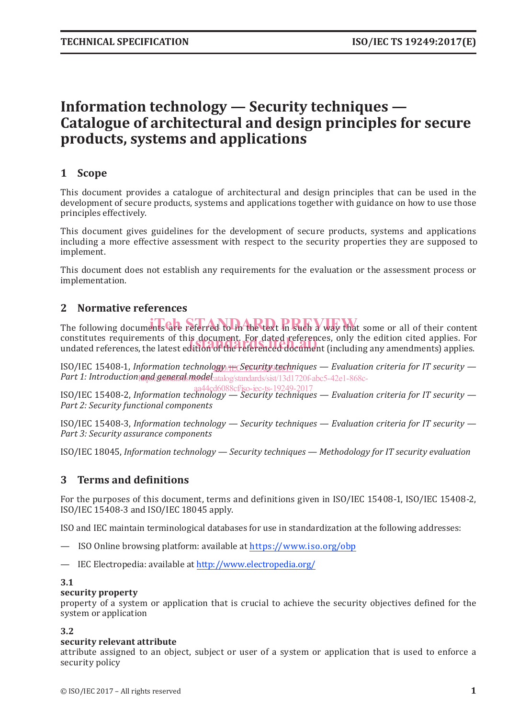### **Information technology — Security techniques — Catalogue of architectural and design principles for secure products, systems and applications**

#### **1 Scope**

This document provides a catalogue of architectural and design principles that can be used in the development of secure products, systems and applications together with guidance on how to use those principles effectively.

This document gives guidelines for the development of secure products, systems and applications including a more effective assessment with respect to the security properties they are supposed to implement.

This document does not establish any requirements for the evaluation or the assessment process or implementation.

#### **2 Normative references**

The following documents are referred to in the text in such a way that some or all of their content constitutes requirements of this document. For dated references, only the edition cited applies. For constitutes requirements of this document. For dated references, only the edition cited applies. For<br>undated references, the latest edition of the referenced document (including any amendments) applies.

ISO/IEC 15408-1, Information technology <del>RE</del> Security techniques — Evaluation criteria for IT security — Part 1: Introduction and/general model at alog/standards/sist/13d1720f-abc5-42e1-868c-

ISO/IEC 15408-2, *Information technology — Security techniques — Evaluation criteria for IT security —*  aa44cd6088cf/iso-iec-ts-19249-2017*Part 2: Security functional components*

ISO/IEC 15408-3, *Information technology — Security techniques — Evaluation criteria for IT security — Part 3: Security assurance components*

ISO/IEC 18045, *Information technology — Security techniques — Methodology for IT security evaluation*

#### **3 Terms and definitions**

For the purposes of this document, terms and definitions given in ISO/IEC 15408-1, ISO/IEC 15408-2, ISO/IEC 15408-3 and ISO/IEC 18045 apply.

ISO and IEC maintain terminological databases for use in standardization at the following addresses:

- ISO Online browsing platform: available at https://www.iso.org/obp
- IEC Electropedia: available at http://www.electropedia.org/

#### **3.1**

#### **security property**

property of a system or application that is crucial to achieve the security objectives defined for the system or application

#### **3.2**

#### **security relevant attribute**

attribute assigned to an object, subject or user of a system or application that is used to enforce a security policy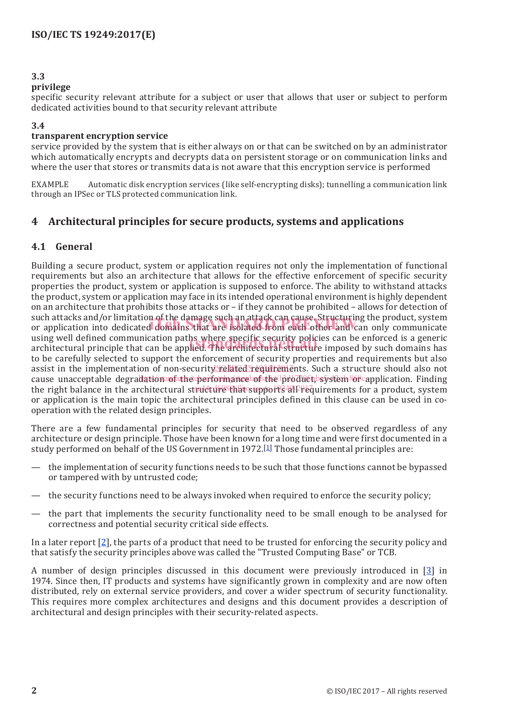#### **3.3**

#### **privilege**

specific security relevant attribute for a subject or user that allows that user or subject to perform dedicated activities bound to that security relevant attribute

#### **3.4**

#### **transparent encryption service**

service provided by the system that is either always on or that can be switched on by an administrator which automatically encrypts and decrypts data on persistent storage or on communication links and where the user that stores or transmits data is not aware that this encryption service is performed

EXAMPLE Automatic disk encryption services (like self-encrypting disks); tunnelling a communication link through an IPSec or TLS protected communication link.

#### **4 Architectural principles for secure products, systems and applications**

#### **4.1 General**

Building a secure product, system or application requires not only the implementation of functional requirements but also an architecture that allows for the effective enforcement of specific security properties the product, system or application is supposed to enforce. The ability to withstand attacks the product, system or application may face in its intended operational environment is highly dependent on an architecture that prohibits those attacks or – if they cannot be prohibited – allows for detection of such attacks and/or limitation of the damage such an attack can cause. Structuring the product, system such attacks and/or limitation of the damage such an attack can cause. Structuring the product, system<br>or application into dedicated domains that are isolated from each other and can only communicate using well defined communication paths where specific security policies can be enforced is a generic using well defined communication paths where specific security policies can be enforced is a generic<br>architectural principle that can be applied. The architectural structure imposed by such domains has to be carefully selected to support the enforcement of security properties and requirements but also assist in the implementation of non-security related requirements. Such a structure should also not cause unacceptable degradationa of the performance of the product bsystem of capplication. Finding the right balance in the architectural structure that supports 4HPrequirements for a product, system or application is the main topic the architectural principles defined in this clause can be used in cooperation with the related design principles.

There are a few fundamental principles for security that need to be observed regardless of any architecture or design principle. Those have been known for a long time and were first documented in a study performed on behalf of the US Government in 1972.<sup>[1]</sup> Those fundamental principles are:

- the implementation of security functions needs to be such that those functions cannot be bypassed or tampered with by untrusted code;
- the security functions need to be always invoked when required to enforce the security policy;
- the part that implements the security functionality need to be small enough to be analysed for correctness and potential security critical side effects.

In a later report [2], the parts of a product that need to be trusted for enforcing the security policy and that satisfy the security principles above was called the "Trusted Computing Base" or TCB.

A number of design principles discussed in this document were previously introduced in [3] in 1974. Since then, IT products and systems have significantly grown in complexity and are now often distributed, rely on external service providers, and cover a wider spectrum of security functionality. This requires more complex architectures and designs and this document provides a description of architectural and design principles with their security-related aspects.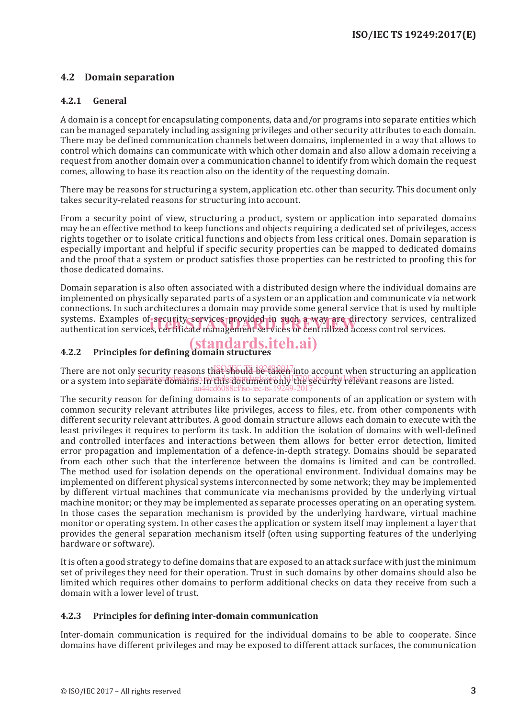#### **4.2 Domain separation**

#### **4.2.1 General**

A domain is a concept for encapsulating components, data and/or programs into separate entities which can be managed separately including assigning privileges and other security attributes to each domain. There may be defined communication channels between domains, implemented in a way that allows to control which domains can communicate with which other domain and also allow a domain receiving a request from another domain over a communication channel to identify from which domain the request comes, allowing to base its reaction also on the identity of the requesting domain.

There may be reasons for structuring a system, application etc. other than security. This document only takes security-related reasons for structuring into account.

From a security point of view, structuring a product, system or application into separated domains may be an effective method to keep functions and objects requiring a dedicated set of privileges, access rights together or to isolate critical functions and objects from less critical ones. Domain separation is especially important and helpful if specific security properties can be mapped to dedicated domains and the proof that a system or product satisfies those properties can be restricted to proofing this for those dedicated domains.

Domain separation is also often associated with a distributed design where the individual domains are implemented on physically separated parts of a system or an application and communicate via network connections. In such architectures a domain may provide some general service that is used by multiple systems. Examples of security services provided in such a way are directory services, centralized systems. Examples of security services provided in such a way are directory services, cen<br>authentication services, certificate management services or centralized access control services.

#### **4.2.2 Principles for defining domain structures** (standards.iteh.ai)

There are not only security reasons that should be taken into account when structuring an application or a system into separate domains. In this document only the security relevant reasons are listed. kcf/iso-iec-ts-1

The security reason for defining domains is to separate components of an application or system with common security relevant attributes like privileges, access to files, etc. from other components with different security relevant attributes. A good domain structure allows each domain to execute with the least privileges it requires to perform its task. In addition the isolation of domains with well-defined and controlled interfaces and interactions between them allows for better error detection, limited error propagation and implementation of a defence-in-depth strategy. Domains should be separated from each other such that the interference between the domains is limited and can be controlled. The method used for isolation depends on the operational environment. Individual domains may be implemented on different physical systems interconnected by some network; they may be implemented by different virtual machines that communicate via mechanisms provided by the underlying virtual machine monitor; or they may be implemented as separate processes operating on an operating system. In those cases the separation mechanism is provided by the underlying hardware, virtual machine monitor or operating system. In other cases the application or system itself may implement a layer that provides the general separation mechanism itself (often using supporting features of the underlying hardware or software).

It is often a good strategy to define domains that are exposed to an attack surface with just the minimum set of privileges they need for their operation. Trust in such domains by other domains should also be limited which requires other domains to perform additional checks on data they receive from such a domain with a lower level of trust.

#### **4.2.3 Principles for defining inter-domain communication**

Inter-domain communication is required for the individual domains to be able to cooperate. Since domains have different privileges and may be exposed to different attack surfaces, the communication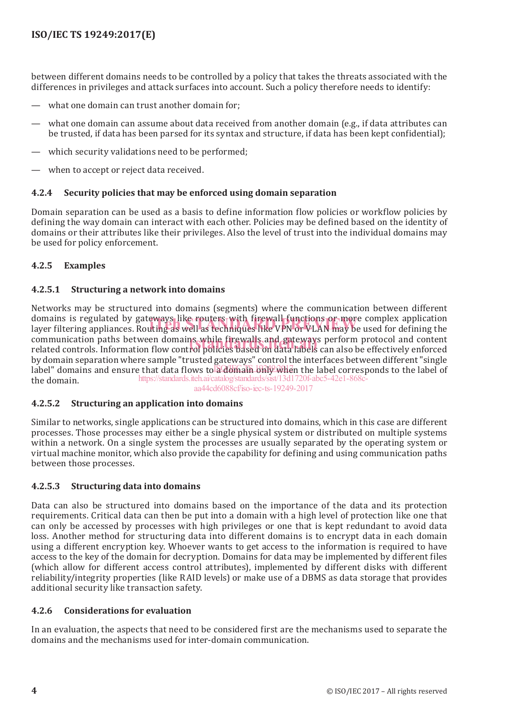between different domains needs to be controlled by a policy that takes the threats associated with the differences in privileges and attack surfaces into account. Such a policy therefore needs to identify:

- what one domain can trust another domain for:
- what one domain can assume about data received from another domain (e.g., if data attributes can be trusted, if data has been parsed for its syntax and structure, if data has been kept confidential);
- which security validations need to be performed;
- when to accept or reject data received.

#### **4.2.4 Security policies that may be enforced using domain separation**

Domain separation can be used as a basis to define information flow policies or workflow policies by defining the way domain can interact with each other. Policies may be defined based on the identity of domains or their attributes like their privileges. Also the level of trust into the individual domains may be used for policy enforcement.

#### **4.2.5 Examples**

#### **4.2.5.1 Structuring a network into domains**

Networks may be structured into domains (segments) where the communication between different domains is regulated by gateways like routers with firewall functions or more complex application domains is regulated by gateways like routers with firewall functions or more complex application<br>layer filtering appliances. Routing as well as techniques like VPN or VLAN may be used for defining the communication paths between domains while firewalls and gateways perform protocol and content communication paths between domains while firewalls and gateways perform protocol and content<br>related controls. Information flow control policies based on data labels can also be effectively enforced by domain separation where sample "trusted gateways" control the interfaces between different "single label" domains and ensure that data flows to a domain built when the label corresponds to the label of the domain. https://standards.iteh.ai/catalog/standards/sist/13d1720f-abc5-42e1-868c-

aa44cd6088cf/iso-iec-ts-19249-2017

#### **4.2.5.2 Structuring an application into domains**

Similar to networks, single applications can be structured into domains, which in this case are different processes. Those processes may either be a single physical system or distributed on multiple systems within a network. On a single system the processes are usually separated by the operating system or virtual machine monitor, which also provide the capability for defining and using communication paths between those processes.

#### **4.2.5.3 Structuring data into domains**

Data can also be structured into domains based on the importance of the data and its protection requirements. Critical data can then be put into a domain with a high level of protection like one that can only be accessed by processes with high privileges or one that is kept redundant to avoid data loss. Another method for structuring data into different domains is to encrypt data in each domain using a different encryption key. Whoever wants to get access to the information is required to have access to the key of the domain for decryption. Domains for data may be implemented by different files (which allow for different access control attributes), implemented by different disks with different reliability/integrity properties (like RAID levels) or make use of a DBMS as data storage that provides additional security like transaction safety.

#### **4.2.6 Considerations for evaluation**

In an evaluation, the aspects that need to be considered first are the mechanisms used to separate the domains and the mechanisms used for inter-domain communication.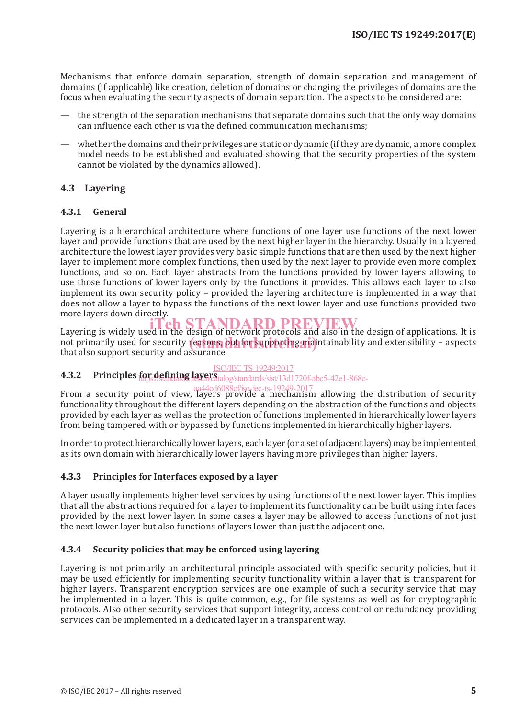Mechanisms that enforce domain separation, strength of domain separation and management of domains (if applicable) like creation, deletion of domains or changing the privileges of domains are the focus when evaluating the security aspects of domain separation. The aspects to be considered are:

- the strength of the separation mechanisms that separate domains such that the only way domains can influence each other is via the defined communication mechanisms;
- whether the domains and their privileges are static or dynamic (if they are dynamic, a more complex model needs to be established and evaluated showing that the security properties of the system cannot be violated by the dynamics allowed).

#### **4.3 Layering**

#### **4.3.1 General**

Layering is a hierarchical architecture where functions of one layer use functions of the next lower layer and provide functions that are used by the next higher layer in the hierarchy. Usually in a layered architecture the lowest layer provides very basic simple functions that are then used by the next higher layer to implement more complex functions, then used by the next layer to provide even more complex functions, and so on. Each layer abstracts from the functions provided by lower layers allowing to use those functions of lower layers only by the functions it provides. This allows each layer to also implement its own security policy – provided the layering architecture is implemented in a way that does not allow a layer to bypass the functions of the next lower layer and use functions provided two more layers down directly.

Layering is widely used in the design of network protocols and also in the design of applications. It is not primarily used for security reasons, but for supporting maintainability and extensibility – aspects that also support security and assurance that also support security and assurance.

#### ISO/IEC TS 19249:2017

#### **4.3.2** Principles **for defining layers** talog/standards/sist/13d1720f-abc5-42e1-868c-

From a security point of view, layers provide a mechanism allowing the distribution of security functionality throughout the different layers depending on the abstraction of the functions and objects provided by each layer as well as the protection of functions implemented in hierarchically lower layers from being tampered with or bypassed by functions implemented in hierarchically higher layers. aa44cd6088cf/iso-iec-ts-19249-2017

In order to protect hierarchically lower layers, each layer (or a set of adjacent layers) may be implemented as its own domain with hierarchically lower layers having more privileges than higher layers.

#### **4.3.3 Principles for Interfaces exposed by a layer**

A layer usually implements higher level services by using functions of the next lower layer. This implies that all the abstractions required for a layer to implement its functionality can be built using interfaces provided by the next lower layer. In some cases a layer may be allowed to access functions of not just the next lower layer but also functions of layers lower than just the adjacent one.

#### **4.3.4 Security policies that may be enforced using layering**

Layering is not primarily an architectural principle associated with specific security policies, but it may be used efficiently for implementing security functionality within a layer that is transparent for higher layers. Transparent encryption services are one example of such a security service that may be implemented in a layer. This is quite common, e.g., for file systems as well as for cryptographic protocols. Also other security services that support integrity, access control or redundancy providing services can be implemented in a dedicated layer in a transparent way.